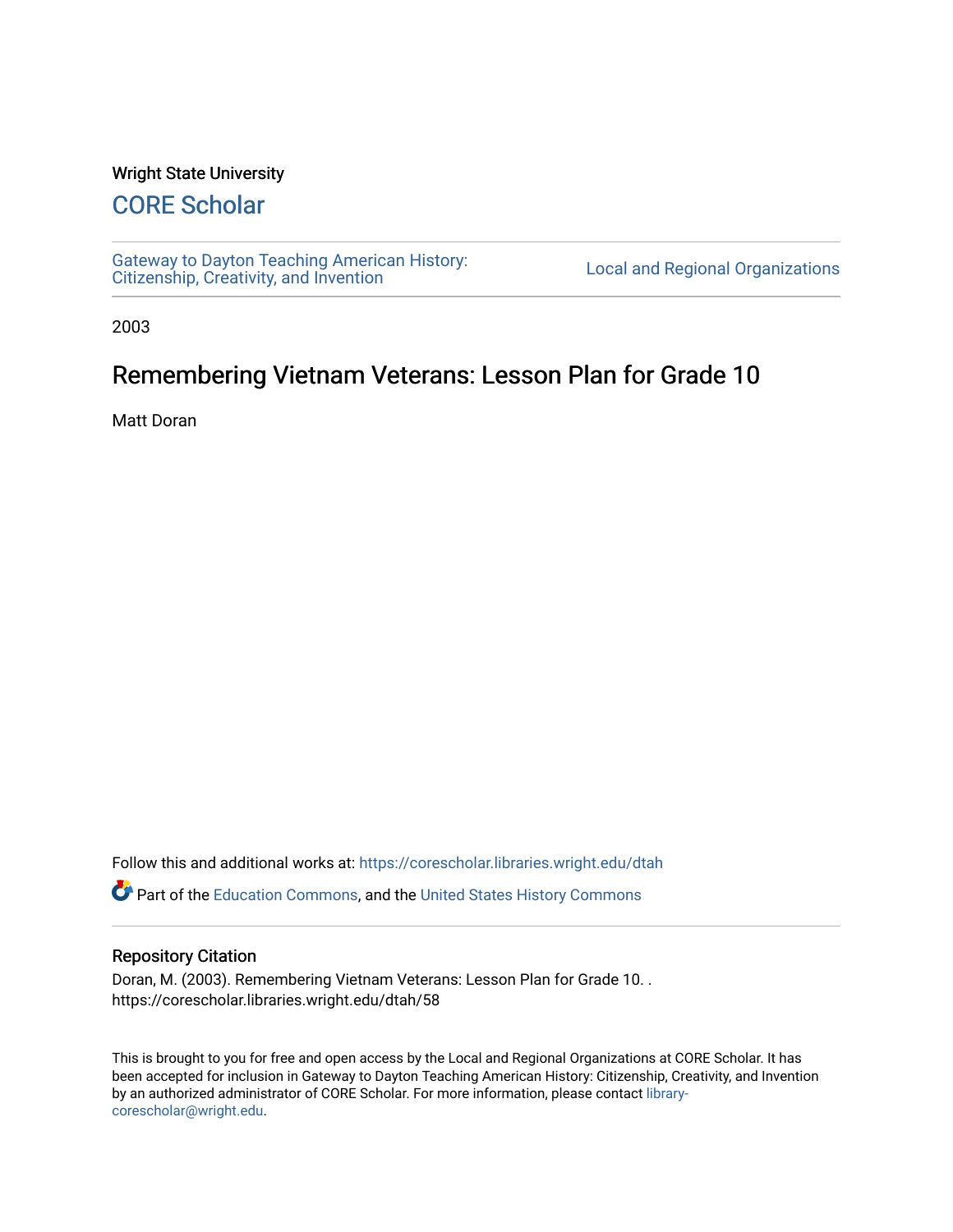#### Wright State University

## [CORE Scholar](https://corescholar.libraries.wright.edu/)

[Gateway to Dayton Teaching American History:](https://corescholar.libraries.wright.edu/dtah)  Gateway to Dayton Teaching American History.<br>[Citizenship, Creativity, and Invention](https://corescholar.libraries.wright.edu/dtah) Listory Local and Regional Organizations

2003

# Remembering Vietnam Veterans: Lesson Plan for Grade 10

Matt Doran

Follow this and additional works at: [https://corescholar.libraries.wright.edu/dtah](https://corescholar.libraries.wright.edu/dtah?utm_source=corescholar.libraries.wright.edu%2Fdtah%2F58&utm_medium=PDF&utm_campaign=PDFCoverPages)

Part of the [Education Commons](http://network.bepress.com/hgg/discipline/784?utm_source=corescholar.libraries.wright.edu%2Fdtah%2F58&utm_medium=PDF&utm_campaign=PDFCoverPages), and the [United States History Commons](http://network.bepress.com/hgg/discipline/495?utm_source=corescholar.libraries.wright.edu%2Fdtah%2F58&utm_medium=PDF&utm_campaign=PDFCoverPages) 

#### Repository Citation

Doran, M. (2003). Remembering Vietnam Veterans: Lesson Plan for Grade 10. . https://corescholar.libraries.wright.edu/dtah/58

This is brought to you for free and open access by the Local and Regional Organizations at CORE Scholar. It has been accepted for inclusion in Gateway to Dayton Teaching American History: Citizenship, Creativity, and Invention by an authorized administrator of CORE Scholar. For more information, please contact [library](mailto:library-corescholar@wright.edu)[corescholar@wright.edu](mailto:library-corescholar@wright.edu).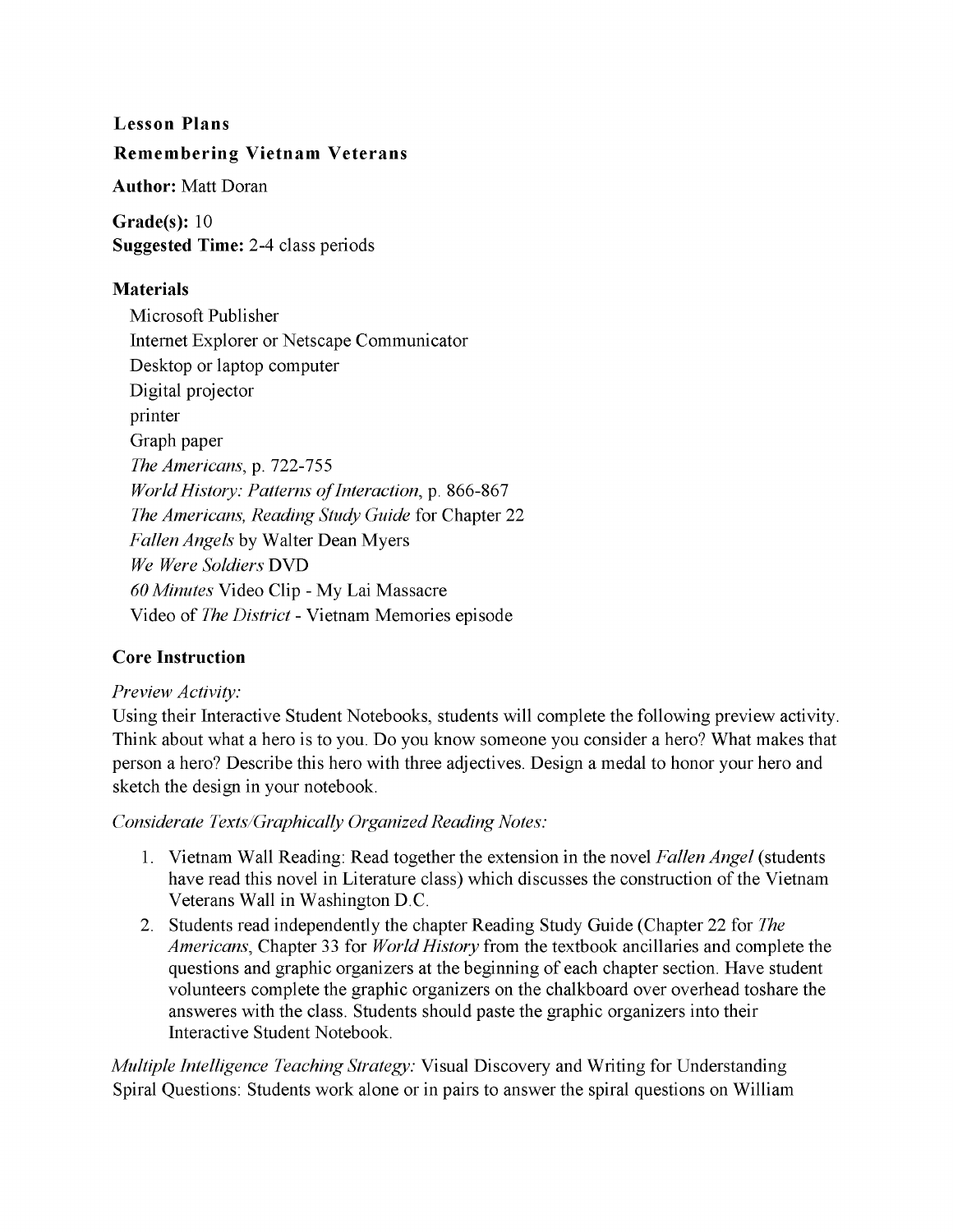#### **Lesson Plans**

#### **Remembering Vietnam Veterans**

**Author:** Matt Doran

**Grade(s):** 10 **Suggested Time:** 2-4 class periods

#### **Materials**

Microsoft Publisher Internet Explorer or Netscape Communicator Desktop or laptop computer Digital projector printer Graph paper *The Americans,* p. 722-755 *World History: Patterns of Interaction, p. 866-867 The Americans, Reading Study Guide* for Chapter 22 *Fallen Angels* by Walter Dean Myers *We Were Soldiers* DVD *60 Minutes* Video Clip - My Lai Massacre Video of *The District* - Vietnam Memories episode

#### **Core Instruction**

#### *Preview Activity:*

Using their Interactive Student Notebooks, students will complete the following preview activity. Think about what a hero is to you. Do you know someone you consider a hero? What makes that person a hero? Describe this hero with three adjectives. Design a medal to honor your hero and sketch the design in your notebook.

*Considerate Texts/Graphically Organized Reading Notes:* 

- 1. Vietnam Wall Reading: Read together the extension in the novel *Fallen Angel* (students have read this novel in Literature class) which discusses the construction of the Vietnam Veterans Wall in Washington D.C.
- 2. Students read independently the chapter Reading Study Guide (Chapter 22 for *The Americans,* Chapter 33 for *World History* from the textbook ancillaries and complete the questions and graphic organizers at the beginning of each chapter section. Have student volunteers complete the graphic organizers on the chalkboard over overhead to share the answeres with the class. Students should paste the graphic organizers into their Interactive Student Notebook.

*Multiple Intelligence Teaching Strategy:* Visual Discovery and Writing for Understanding Spiral Questions: Students work alone or in pairs to answer the spiral questions on William